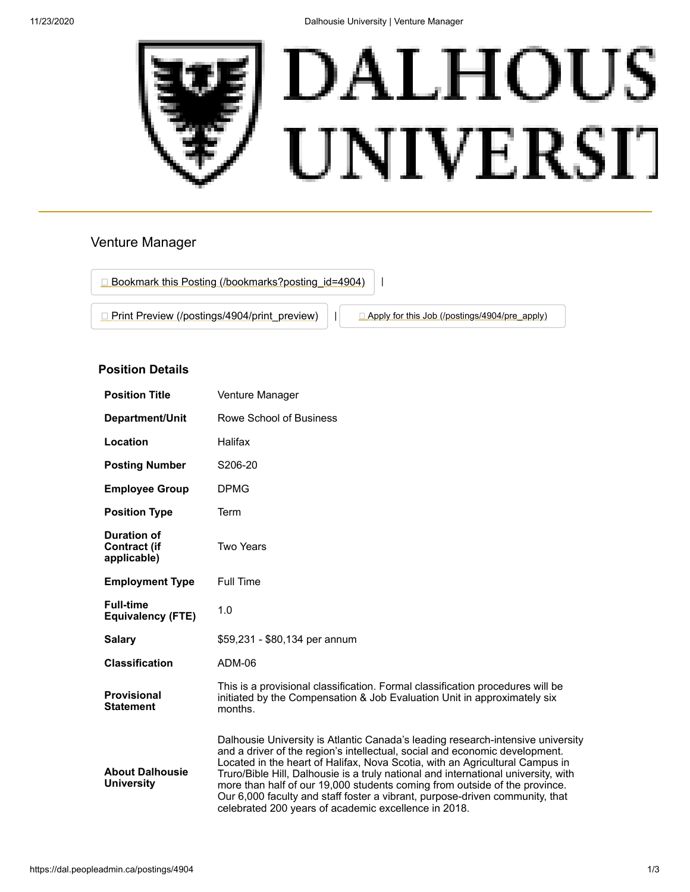

## Venture Manager



### **Position Details**

| <b>Position Title</b>                                    | Venture Manager                                                                                                                                                                                                                                                                                                                                                                                                                                                                                                                                            |
|----------------------------------------------------------|------------------------------------------------------------------------------------------------------------------------------------------------------------------------------------------------------------------------------------------------------------------------------------------------------------------------------------------------------------------------------------------------------------------------------------------------------------------------------------------------------------------------------------------------------------|
| Department/Unit                                          | Rowe School of Business                                                                                                                                                                                                                                                                                                                                                                                                                                                                                                                                    |
| Location                                                 | Halifax                                                                                                                                                                                                                                                                                                                                                                                                                                                                                                                                                    |
| <b>Posting Number</b>                                    | S206-20                                                                                                                                                                                                                                                                                                                                                                                                                                                                                                                                                    |
| <b>Employee Group</b>                                    | <b>DPMG</b>                                                                                                                                                                                                                                                                                                                                                                                                                                                                                                                                                |
| <b>Position Type</b>                                     | Term                                                                                                                                                                                                                                                                                                                                                                                                                                                                                                                                                       |
| <b>Duration of</b><br><b>Contract (if</b><br>applicable) | <b>Two Years</b>                                                                                                                                                                                                                                                                                                                                                                                                                                                                                                                                           |
| <b>Employment Type</b>                                   | <b>Full Time</b>                                                                                                                                                                                                                                                                                                                                                                                                                                                                                                                                           |
| <b>Full-time</b><br><b>Equivalency (FTE)</b>             | 1.0                                                                                                                                                                                                                                                                                                                                                                                                                                                                                                                                                        |
| <b>Salary</b>                                            | \$59,231 - \$80,134 per annum                                                                                                                                                                                                                                                                                                                                                                                                                                                                                                                              |
| <b>Classification</b>                                    | ADM-06                                                                                                                                                                                                                                                                                                                                                                                                                                                                                                                                                     |
| <b>Provisional</b><br><b>Statement</b>                   | This is a provisional classification. Formal classification procedures will be<br>initiated by the Compensation & Job Evaluation Unit in approximately six<br>months.                                                                                                                                                                                                                                                                                                                                                                                      |
| <b>About Dalhousie</b><br><b>University</b>              | Dalhousie University is Atlantic Canada's leading research-intensive university<br>and a driver of the region's intellectual, social and economic development.<br>Located in the heart of Halifax, Nova Scotia, with an Agricultural Campus in<br>Truro/Bible Hill, Dalhousie is a truly national and international university, with<br>more than half of our 19,000 students coming from outside of the province.<br>Our 6,000 faculty and staff foster a vibrant, purpose-driven community, that<br>celebrated 200 years of academic excellence in 2018. |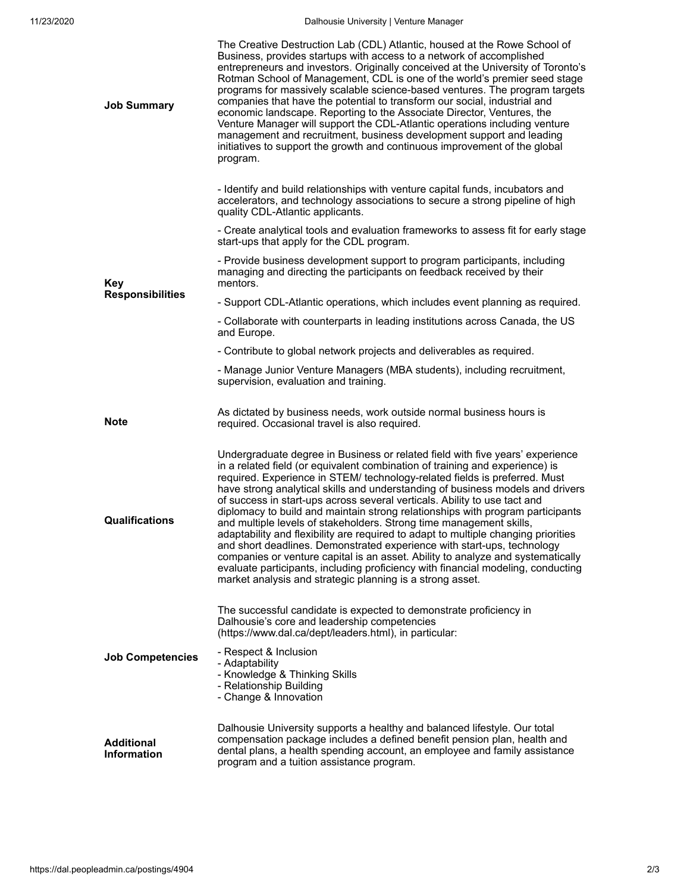| <b>Job Summary</b>                    | The Creative Destruction Lab (CDL) Atlantic, housed at the Rowe School of<br>Business, provides startups with access to a network of accomplished<br>entrepreneurs and investors. Originally conceived at the University of Toronto's<br>Rotman School of Management, CDL is one of the world's premier seed stage<br>programs for massively scalable science-based ventures. The program targets<br>companies that have the potential to transform our social, industrial and<br>economic landscape. Reporting to the Associate Director, Ventures, the<br>Venture Manager will support the CDL-Atlantic operations including venture<br>management and recruitment, business development support and leading<br>initiatives to support the growth and continuous improvement of the global<br>program.                                                                                                                                                                 |
|---------------------------------------|--------------------------------------------------------------------------------------------------------------------------------------------------------------------------------------------------------------------------------------------------------------------------------------------------------------------------------------------------------------------------------------------------------------------------------------------------------------------------------------------------------------------------------------------------------------------------------------------------------------------------------------------------------------------------------------------------------------------------------------------------------------------------------------------------------------------------------------------------------------------------------------------------------------------------------------------------------------------------|
| <b>Key</b><br><b>Responsibilities</b> | - Identify and build relationships with venture capital funds, incubators and<br>accelerators, and technology associations to secure a strong pipeline of high<br>quality CDL-Atlantic applicants.                                                                                                                                                                                                                                                                                                                                                                                                                                                                                                                                                                                                                                                                                                                                                                       |
|                                       | - Create analytical tools and evaluation frameworks to assess fit for early stage<br>start-ups that apply for the CDL program.                                                                                                                                                                                                                                                                                                                                                                                                                                                                                                                                                                                                                                                                                                                                                                                                                                           |
|                                       | - Provide business development support to program participants, including<br>managing and directing the participants on feedback received by their<br>mentors.                                                                                                                                                                                                                                                                                                                                                                                                                                                                                                                                                                                                                                                                                                                                                                                                           |
|                                       | - Support CDL-Atlantic operations, which includes event planning as required.                                                                                                                                                                                                                                                                                                                                                                                                                                                                                                                                                                                                                                                                                                                                                                                                                                                                                            |
|                                       | - Collaborate with counterparts in leading institutions across Canada, the US<br>and Europe.                                                                                                                                                                                                                                                                                                                                                                                                                                                                                                                                                                                                                                                                                                                                                                                                                                                                             |
|                                       | - Contribute to global network projects and deliverables as required.                                                                                                                                                                                                                                                                                                                                                                                                                                                                                                                                                                                                                                                                                                                                                                                                                                                                                                    |
|                                       | - Manage Junior Venture Managers (MBA students), including recruitment,<br>supervision, evaluation and training.                                                                                                                                                                                                                                                                                                                                                                                                                                                                                                                                                                                                                                                                                                                                                                                                                                                         |
| <b>Note</b>                           | As dictated by business needs, work outside normal business hours is<br>required. Occasional travel is also required.                                                                                                                                                                                                                                                                                                                                                                                                                                                                                                                                                                                                                                                                                                                                                                                                                                                    |
| <b>Qualifications</b>                 | Undergraduate degree in Business or related field with five years' experience<br>in a related field (or equivalent combination of training and experience) is<br>required. Experience in STEM/ technology-related fields is preferred. Must<br>have strong analytical skills and understanding of business models and drivers<br>of success in start-ups across several verticals. Ability to use tact and<br>diplomacy to build and maintain strong relationships with program participants<br>and multiple levels of stakeholders. Strong time management skills,<br>adaptability and flexibility are required to adapt to multiple changing priorities<br>and short deadlines. Demonstrated experience with start-ups, technology<br>companies or venture capital is an asset. Ability to analyze and systematically<br>evaluate participants, including proficiency with financial modeling, conducting<br>market analysis and strategic planning is a strong asset. |
| <b>Job Competencies</b>               | The successful candidate is expected to demonstrate proficiency in<br>Dalhousie's core and leadership competencies<br>(https://www.dal.ca/dept/leaders.html), in particular:<br>- Respect & Inclusion<br>- Adaptability<br>- Knowledge & Thinking Skills<br>- Relationship Building<br>- Change & Innovation                                                                                                                                                                                                                                                                                                                                                                                                                                                                                                                                                                                                                                                             |
| Additional<br><b>Information</b>      | Dalhousie University supports a healthy and balanced lifestyle. Our total<br>compensation package includes a defined benefit pension plan, health and<br>dental plans, a health spending account, an employee and family assistance<br>program and a tuition assistance program.                                                                                                                                                                                                                                                                                                                                                                                                                                                                                                                                                                                                                                                                                         |